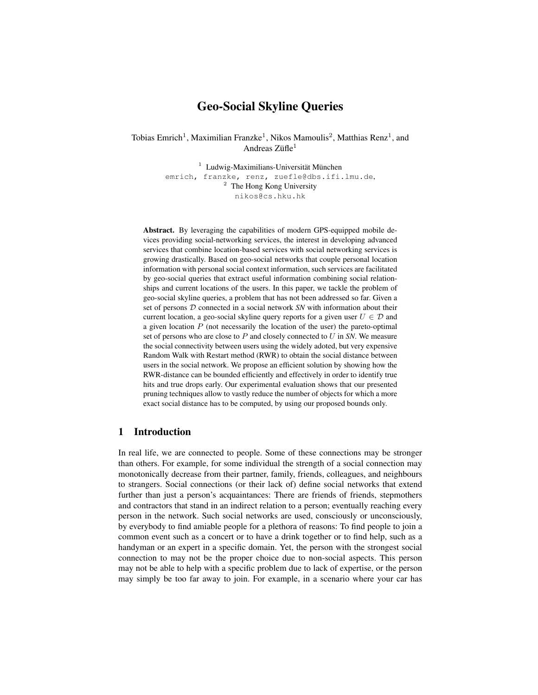# Geo-Social Skyline Queries

Tobias Emrich<sup>1</sup>, Maximilian Franzke<sup>1</sup>, Nikos Mamoulis<sup>2</sup>, Matthias Renz<sup>1</sup>, and Andreas  $Z$ üfle<sup>1</sup>

> <sup>1</sup> Ludwig-Maximilians-Universität München emrich, franzke, renz, zuefle@dbs.ifi.lmu.de, <sup>2</sup> The Hong Kong University nikos@cs.hku.hk

Abstract. By leveraging the capabilities of modern GPS-equipped mobile devices providing social-networking services, the interest in developing advanced services that combine location-based services with social networking services is growing drastically. Based on geo-social networks that couple personal location information with personal social context information, such services are facilitated by geo-social queries that extract useful information combining social relationships and current locations of the users. In this paper, we tackle the problem of geo-social skyline queries, a problem that has not been addressed so far. Given a set of persons D connected in a social network *SN* with information about their current location, a geo-social skyline query reports for a given user  $U \in \mathcal{D}$  and a given location  $P$  (not necessarily the location of the user) the pareto-optimal set of persons who are close to P and closely connected to U in *SN*. We measure the social connectivity between users using the widely adoted, but very expensive Random Walk with Restart method (RWR) to obtain the social distance between users in the social network. We propose an efficient solution by showing how the RWR-distance can be bounded efficiently and effectively in order to identify true hits and true drops early. Our experimental evaluation shows that our presented pruning techniques allow to vastly reduce the number of objects for which a more exact social distance has to be computed, by using our proposed bounds only.

# 1 Introduction

In real life, we are connected to people. Some of these connections may be stronger than others. For example, for some individual the strength of a social connection may monotonically decrease from their partner, family, friends, colleagues, and neighbours to strangers. Social connections (or their lack of) define social networks that extend further than just a person's acquaintances: There are friends of friends, stepmothers and contractors that stand in an indirect relation to a person; eventually reaching every person in the network. Such social networks are used, consciously or unconsciously, by everybody to find amiable people for a plethora of reasons: To find people to join a common event such as a concert or to have a drink together or to find help, such as a handyman or an expert in a specific domain. Yet, the person with the strongest social connection to may not be the proper choice due to non-social aspects. This person may not be able to help with a specific problem due to lack of expertise, or the person may simply be too far away to join. For example, in a scenario where your car has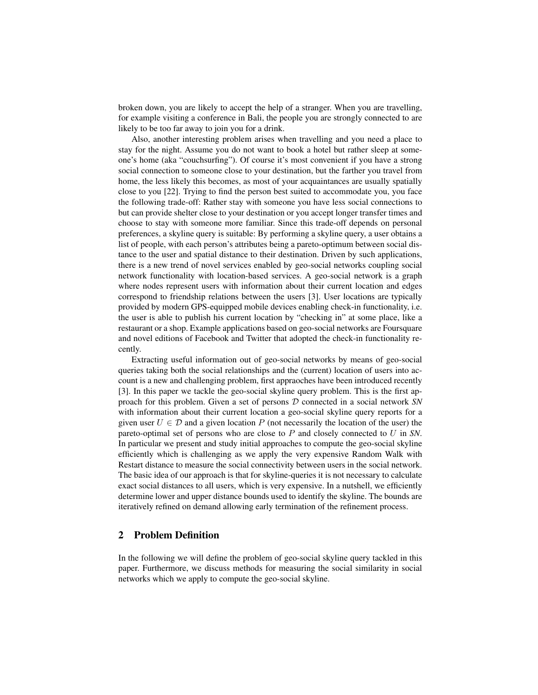broken down, you are likely to accept the help of a stranger. When you are travelling, for example visiting a conference in Bali, the people you are strongly connected to are likely to be too far away to join you for a drink.

Also, another interesting problem arises when travelling and you need a place to stay for the night. Assume you do not want to book a hotel but rather sleep at someone's home (aka "couchsurfing"). Of course it's most convenient if you have a strong social connection to someone close to your destination, but the farther you travel from home, the less likely this becomes, as most of your acquaintances are usually spatially close to you [22]. Trying to find the person best suited to accommodate you, you face the following trade-off: Rather stay with someone you have less social connections to but can provide shelter close to your destination or you accept longer transfer times and choose to stay with someone more familiar. Since this trade-off depends on personal preferences, a skyline query is suitable: By performing a skyline query, a user obtains a list of people, with each person's attributes being a pareto-optimum between social distance to the user and spatial distance to their destination. Driven by such applications, there is a new trend of novel services enabled by geo-social networks coupling social network functionality with location-based services. A geo-social network is a graph where nodes represent users with information about their current location and edges correspond to friendship relations between the users [3]. User locations are typically provided by modern GPS-equipped mobile devices enabling check-in functionality, i.e. the user is able to publish his current location by "checking in" at some place, like a restaurant or a shop. Example applications based on geo-social networks are Foursquare and novel editions of Facebook and Twitter that adopted the check-in functionality recently.

Extracting useful information out of geo-social networks by means of geo-social queries taking both the social relationships and the (current) location of users into account is a new and challenging problem, first appraoches have been introduced recently [3]. In this paper we tackle the geo-social skyline query problem. This is the first approach for this problem. Given a set of persons D connected in a social network *SN* with information about their current location a geo-social skyline query reports for a given user  $U \in \mathcal{D}$  and a given location P (not necessarily the location of the user) the pareto-optimal set of persons who are close to P and closely connected to U in *SN*. In particular we present and study initial approaches to compute the geo-social skyline efficiently which is challenging as we apply the very expensive Random Walk with Restart distance to measure the social connectivity between users in the social network. The basic idea of our approach is that for skyline-queries it is not necessary to calculate exact social distances to all users, which is very expensive. In a nutshell, we efficiently determine lower and upper distance bounds used to identify the skyline. The bounds are iteratively refined on demand allowing early termination of the refinement process.

# 2 Problem Definition

In the following we will define the problem of geo-social skyline query tackled in this paper. Furthermore, we discuss methods for measuring the social similarity in social networks which we apply to compute the geo-social skyline.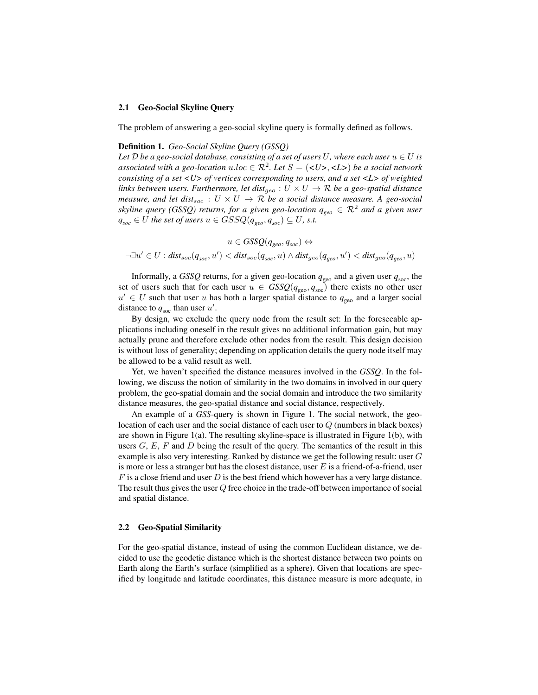#### 2.1 Geo-Social Skyline Query

The problem of answering a geo-social skyline query is formally defined as follows.

### Definition 1. *Geo-Social Skyline Query (GSSQ)*

Let  $D$  *be a geo-social database, consisting of a set of users* U, where each user  $u \in U$  is *associated with a geo-location*  $u$ .loc  $\in \mathbb{R}^2$ . Let  $S = \langle \langle U \rangle, \langle L \rangle$  be a social network *consisting of a set <U> of vertices corresponding to users, and a set <L> of weighted links between users. Furthermore, let dist<sub>aeo</sub>* :  $U \times U \rightarrow \mathcal{R}$  *be a geo-spatial distance measure, and let dist<sub>soc</sub>* :  $U \times U \rightarrow \mathbb{R}$  *be a social distance measure. A geo-social skyline query (GSSQ) returns, for a given geo-location*  $q_{\text{geo}} \in \mathbb{R}^2$  *and a given user*  $q_{soc} \in U$  *the set of users*  $u \in GSSQ(q_{geo}, q_{soc}) \subseteq U$ *, s.t.* 

$$
u \in GSSQ(q_{geo}, q_{soc}) \Leftrightarrow
$$
  

$$
\neg \exists u' \in U : dist_{soc}(q_{soc}, u') < dist_{soc}(q_{soc}, u) \land dist_{geo}(q_{geo}, u') < dist_{geo}(q_{geo}, u)
$$

Informally, a *GSSQ* returns, for a given geo-location  $q_{\text{geo}}$  and a given user  $q_{\text{soc}}$ , the set of users such that for each user  $u \in GSSQ(q_{\text{geo}}, q_{\text{soc}})$  there exists no other user  $u' \in U$  such that user u has both a larger spatial distance to  $q_{\text{geo}}$  and a larger social distance to  $q_{\text{soc}}$  than user  $u'$ .

By design, we exclude the query node from the result set: In the foreseeable applications including oneself in the result gives no additional information gain, but may actually prune and therefore exclude other nodes from the result. This design decision is without loss of generality; depending on application details the query node itself may be allowed to be a valid result as well.

Yet, we haven't specified the distance measures involved in the *GSSQ*. In the following, we discuss the notion of similarity in the two domains in involved in our query problem, the geo-spatial domain and the social domain and introduce the two similarity distance measures, the geo-spatial distance and social distance, respectively.

An example of a *GSS*-query is shown in Figure 1. The social network, the geolocation of each user and the social distance of each user to  $Q$  (numbers in black boxes) are shown in Figure 1(a). The resulting skyline-space is illustrated in Figure 1(b), with users  $G, E, F$  and  $D$  being the result of the query. The semantics of the result in this example is also very interesting. Ranked by distance we get the following result: user G is more or less a stranger but has the closest distance, user  $E$  is a friend-of-a-friend, user  $F$  is a close friend and user  $D$  is the best friend which however has a very large distance. The result thus gives the user  $Q$  free choice in the trade-off between importance of social and spatial distance.

### 2.2 Geo-Spatial Similarity

For the geo-spatial distance, instead of using the common Euclidean distance, we decided to use the geodetic distance which is the shortest distance between two points on Earth along the Earth's surface (simplified as a sphere). Given that locations are specified by longitude and latitude coordinates, this distance measure is more adequate, in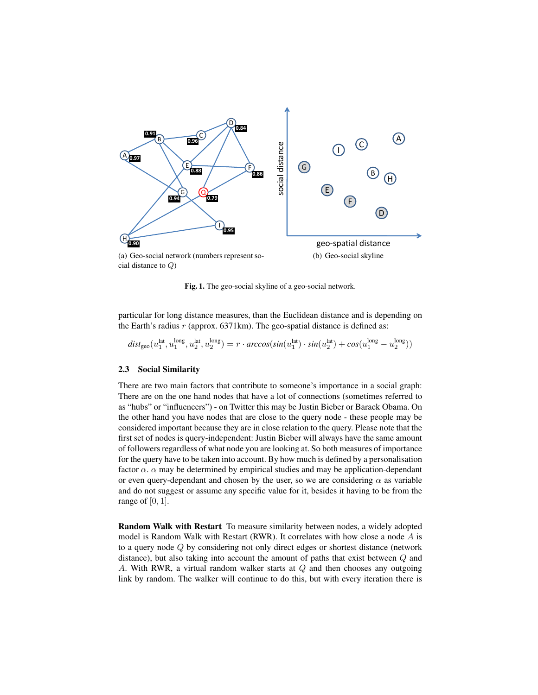

Fig. 1. The geo-social skyline of a geo-social network.

particular for long distance measures, than the Euclidean distance and is depending on the Earth's radius  $r$  (approx. 6371km). The geo-spatial distance is defined as:

$$
\mathit{dist}_{\mathit{geo}}(u_1^{\mathrm{lat}}, u_1^{\mathrm{long}}, u_2^{\mathrm{lat}}, u_2^{\mathrm{long}}) = r \cdot \mathit{arccos}(\mathit{sin}(u_1^{\mathrm{lat}}) \cdot \mathit{sin}(u_2^{\mathrm{lat}}) + \mathit{cos}(u_1^{\mathrm{long}} - u_2^{\mathrm{long}}))
$$

### 2.3 Social Similarity

There are two main factors that contribute to someone's importance in a social graph: There are on the one hand nodes that have a lot of connections (sometimes referred to as "hubs" or "influencers") - on Twitter this may be Justin Bieber or Barack Obama. On the other hand you have nodes that are close to the query node - these people may be considered important because they are in close relation to the query. Please note that the first set of nodes is query-independent: Justin Bieber will always have the same amount of followers regardless of what node you are looking at. So both measures of importance for the query have to be taken into account. By how much is defined by a personalisation factor  $\alpha$ .  $\alpha$  may be determined by empirical studies and may be application-dependant or even query-dependant and chosen by the user, so we are considering  $\alpha$  as variable and do not suggest or assume any specific value for it, besides it having to be from the range of  $[0, 1]$ .

Random Walk with Restart To measure similarity between nodes, a widely adopted model is Random Walk with Restart (RWR). It correlates with how close a node  $A$  is to a query node Q by considering not only direct edges or shortest distance (network distance), but also taking into account the amount of paths that exist between Q and A. With RWR, a virtual random walker starts at Q and then chooses any outgoing link by random. The walker will continue to do this, but with every iteration there is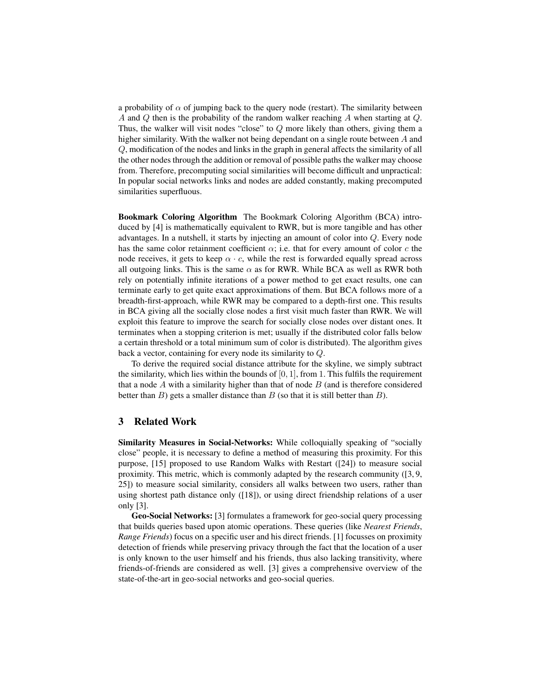a probability of  $\alpha$  of jumping back to the query node (restart). The similarity between A and Q then is the probability of the random walker reaching A when starting at Q. Thus, the walker will visit nodes "close" to Q more likely than others, giving them a higher similarity. With the walker not being dependant on a single route between A and Q, modification of the nodes and links in the graph in general affects the similarity of all the other nodes through the addition or removal of possible paths the walker may choose from. Therefore, precomputing social similarities will become difficult and unpractical: In popular social networks links and nodes are added constantly, making precomputed similarities superfluous.

Bookmark Coloring Algorithm The Bookmark Coloring Algorithm (BCA) introduced by [4] is mathematically equivalent to RWR, but is more tangible and has other advantages. In a nutshell, it starts by injecting an amount of color into Q. Every node has the same color retainment coefficient  $\alpha$ ; i.e. that for every amount of color c the node receives, it gets to keep  $\alpha \cdot c$ , while the rest is forwarded equally spread across all outgoing links. This is the same  $\alpha$  as for RWR. While BCA as well as RWR both rely on potentially infinite iterations of a power method to get exact results, one can terminate early to get quite exact approximations of them. But BCA follows more of a breadth-first-approach, while RWR may be compared to a depth-first one. This results in BCA giving all the socially close nodes a first visit much faster than RWR. We will exploit this feature to improve the search for socially close nodes over distant ones. It terminates when a stopping criterion is met; usually if the distributed color falls below a certain threshold or a total minimum sum of color is distributed). The algorithm gives back a vector, containing for every node its similarity to Q.

To derive the required social distance attribute for the skyline, we simply subtract the similarity, which lies within the bounds of  $[0, 1]$ , from 1. This fulfils the requirement that a node  $A$  with a similarity higher than that of node  $B$  (and is therefore considered better than  $B$ ) gets a smaller distance than  $B$  (so that it is still better than  $B$ ).

# 3 Related Work

Similarity Measures in Social-Networks: While colloquially speaking of "socially close" people, it is necessary to define a method of measuring this proximity. For this purpose, [15] proposed to use Random Walks with Restart ([24]) to measure social proximity. This metric, which is commonly adapted by the research community ([3, 9, 25]) to measure social similarity, considers all walks between two users, rather than using shortest path distance only ([18]), or using direct friendship relations of a user only [3].

Geo-Social Networks: [3] formulates a framework for geo-social query processing that builds queries based upon atomic operations. These queries (like *Nearest Friends*, *Range Friends*) focus on a specific user and his direct friends. [1] focusses on proximity detection of friends while preserving privacy through the fact that the location of a user is only known to the user himself and his friends, thus also lacking transitivity, where friends-of-friends are considered as well. [3] gives a comprehensive overview of the state-of-the-art in geo-social networks and geo-social queries.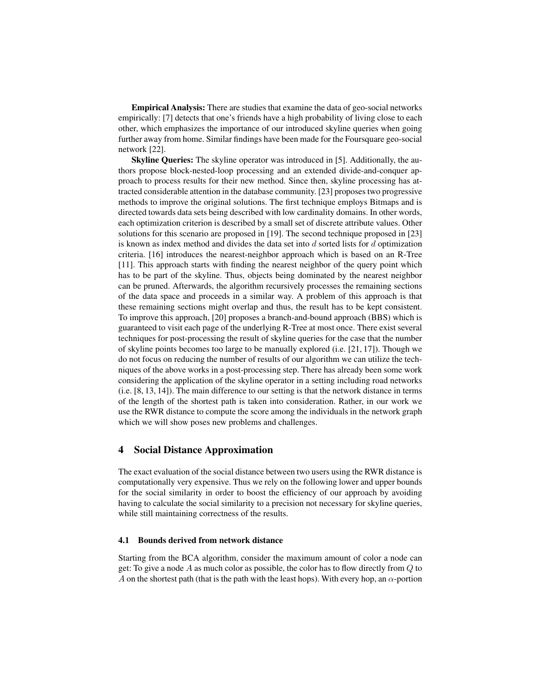Empirical Analysis: There are studies that examine the data of geo-social networks empirically: [7] detects that one's friends have a high probability of living close to each other, which emphasizes the importance of our introduced skyline queries when going further away from home. Similar findings have been made for the Foursquare geo-social network [22].

Skyline Queries: The skyline operator was introduced in [5]. Additionally, the authors propose block-nested-loop processing and an extended divide-and-conquer approach to process results for their new method. Since then, skyline processing has attracted considerable attention in the database community. [23] proposes two progressive methods to improve the original solutions. The first technique employs Bitmaps and is directed towards data sets being described with low cardinality domains. In other words, each optimization criterion is described by a small set of discrete attribute values. Other solutions for this scenario are proposed in [19]. The second technique proposed in [23] is known as index method and divides the data set into  $d$  sorted lists for  $d$  optimization criteria. [16] introduces the nearest-neighbor approach which is based on an R-Tree [11]. This approach starts with finding the nearest neighbor of the query point which has to be part of the skyline. Thus, objects being dominated by the nearest neighbor can be pruned. Afterwards, the algorithm recursively processes the remaining sections of the data space and proceeds in a similar way. A problem of this approach is that these remaining sections might overlap and thus, the result has to be kept consistent. To improve this approach, [20] proposes a branch-and-bound approach (BBS) which is guaranteed to visit each page of the underlying R-Tree at most once. There exist several techniques for post-processing the result of skyline queries for the case that the number of skyline points becomes too large to be manually explored (i.e. [21, 17]). Though we do not focus on reducing the number of results of our algorithm we can utilize the techniques of the above works in a post-processing step. There has already been some work considering the application of the skyline operator in a setting including road networks (i.e. [8, 13, 14]). The main difference to our setting is that the network distance in terms of the length of the shortest path is taken into consideration. Rather, in our work we use the RWR distance to compute the score among the individuals in the network graph which we will show poses new problems and challenges.

# 4 Social Distance Approximation

The exact evaluation of the social distance between two users using the RWR distance is computationally very expensive. Thus we rely on the following lower and upper bounds for the social similarity in order to boost the efficiency of our approach by avoiding having to calculate the social similarity to a precision not necessary for skyline queries, while still maintaining correctness of the results.

# 4.1 Bounds derived from network distance

Starting from the BCA algorithm, consider the maximum amount of color a node can get: To give a node  $A$  as much color as possible, the color has to flow directly from  $Q$  to A on the shortest path (that is the path with the least hops). With every hop, an  $\alpha$ -portion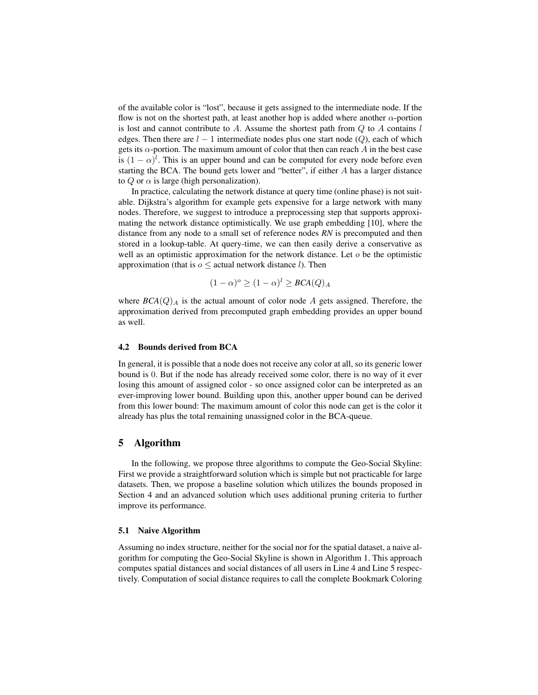of the available color is "lost", because it gets assigned to the intermediate node. If the flow is not on the shortest path, at least another hop is added where another  $\alpha$ -portion is lost and cannot contribute to  $A$ . Assume the shortest path from  $Q$  to  $A$  contains  $l$ edges. Then there are  $l - 1$  intermediate nodes plus one start node (Q), each of which gets its  $\alpha$ -portion. The maximum amount of color that then can reach  $A$  in the best case is  $(1 - \alpha)^l$ . This is an upper bound and can be computed for every node before even starting the BCA. The bound gets lower and "better", if either A has a larger distance to Q or  $\alpha$  is large (high personalization).

In practice, calculating the network distance at query time (online phase) is not suitable. Dijkstra's algorithm for example gets expensive for a large network with many nodes. Therefore, we suggest to introduce a preprocessing step that supports approximating the network distance optimistically. We use graph embedding [10], where the distance from any node to a small set of reference nodes *RN* is precomputed and then stored in a lookup-table. At query-time, we can then easily derive a conservative as well as an optimistic approximation for the network distance. Let  $\sigma$  be the optimistic approximation (that is  $o \le$  actual network distance l). Then

$$
(1 - \alpha)^{o} \ge (1 - \alpha)^{l} \ge BCA(Q)_{A}
$$

where  $BCA(Q)_A$  is the actual amount of color node A gets assigned. Therefore, the approximation derived from precomputed graph embedding provides an upper bound as well.

### 4.2 Bounds derived from BCA

In general, it is possible that a node does not receive any color at all, so its generic lower bound is 0. But if the node has already received some color, there is no way of it ever losing this amount of assigned color - so once assigned color can be interpreted as an ever-improving lower bound. Building upon this, another upper bound can be derived from this lower bound: The maximum amount of color this node can get is the color it already has plus the total remaining unassigned color in the BCA-queue.

# 5 Algorithm

In the following, we propose three algorithms to compute the Geo-Social Skyline: First we provide a straightforward solution which is simple but not practicable for large datasets. Then, we propose a baseline solution which utilizes the bounds proposed in Section 4 and an advanced solution which uses additional pruning criteria to further improve its performance.

#### 5.1 Naive Algorithm

Assuming no index structure, neither for the social nor for the spatial dataset, a naive algorithm for computing the Geo-Social Skyline is shown in Algorithm 1. This approach computes spatial distances and social distances of all users in Line 4 and Line 5 respectively. Computation of social distance requires to call the complete Bookmark Coloring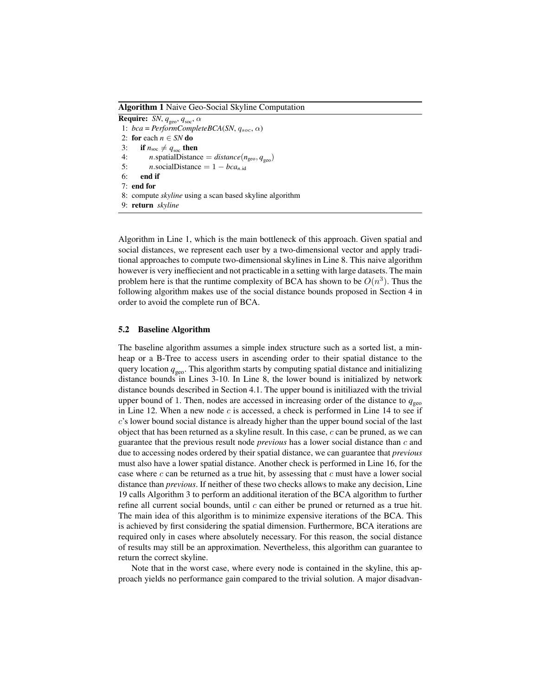Algorithm 1 Naive Geo-Social Skyline Computation

**Require:** *SN*,  $q_{\text{geo}}$ ,  $q_{\text{soc}}$ ,  $\alpha$ 1:  $bca = PerformCompleteBCA(SN, q_{soc}, \alpha)$ 2: for each  $n \in SN$  do 3: **if**  $n_{\text{soc}} \neq q_{\text{soc}}$  **then**<br>4: *n*.spatialDistand 4: *n*.spatialDistance =  $distance(n_{\text{geo}}, q_{\text{geo}})$ <br>5: *n*.socialDistance =  $1 - bca_{n \text{ id}}$  $n$ .socialDistance =  $1 - bca_{n_id}$ 6: end if 7: end for 8: compute *skyline* using a scan based skyline algorithm 9: return *skyline*

Algorithm in Line 1, which is the main bottleneck of this approach. Given spatial and social distances, we represent each user by a two-dimensional vector and apply traditional approaches to compute two-dimensional skylines in Line 8. This naive algorithm however is very ineffiecient and not practicable in a setting with large datasets. The main problem here is that the runtime complexity of BCA has shown to be  $O(n^3)$ . Thus the following algorithm makes use of the social distance bounds proposed in Section 4 in order to avoid the complete run of BCA.

### 5.2 Baseline Algorithm

The baseline algorithm assumes a simple index structure such as a sorted list, a minheap or a B-Tree to access users in ascending order to their spatial distance to the query location  $q_{\text{geo}}$ . This algorithm starts by computing spatial distance and initializing distance bounds in Lines 3-10. In Line 8, the lower bound is initialized by network distance bounds described in Section 4.1. The upper bound is initiliazed with the trivial upper bound of 1. Then, nodes are accessed in increasing order of the distance to  $q_{\text{geo}}$ in Line 12. When a new node  $c$  is accessed, a check is performed in Line 14 to see if c's lower bound social distance is already higher than the upper bound social of the last object that has been returned as a skyline result. In this case,  $c$  can be pruned, as we can guarantee that the previous result node *previous* has a lower social distance than c and due to accessing nodes ordered by their spatial distance, we can guarantee that *previous* must also have a lower spatial distance. Another check is performed in Line 16, for the case where  $c$  can be returned as a true hit, by assessing that  $c$  must have a lower social distance than *previous*. If neither of these two checks allows to make any decision, Line 19 calls Algorithm 3 to perform an additional iteration of the BCA algorithm to further refine all current social bounds, until  $c$  can either be pruned or returned as a true hit. The main idea of this algorithm is to minimize expensive iterations of the BCA. This is achieved by first considering the spatial dimension. Furthermore, BCA iterations are required only in cases where absolutely necessary. For this reason, the social distance of results may still be an approximation. Nevertheless, this algorithm can guarantee to return the correct skyline.

Note that in the worst case, where every node is contained in the skyline, this approach yields no performance gain compared to the trivial solution. A major disadvan-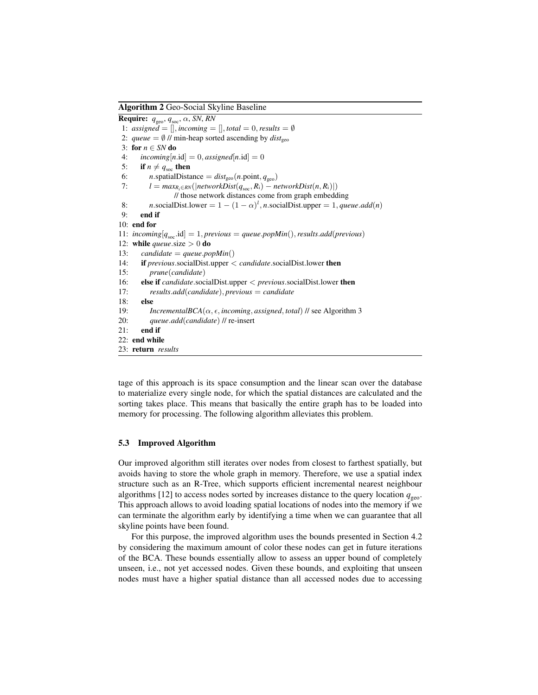Algorithm 2 Geo-Social Skyline Baseline

**Require:**  $q_{\text{geo}}, q_{\text{soc}}, \alpha, SN, RN$ 1:  $assigned = []$ ,  $incoming = []$ ,  $total = 0$ ,  $results = \emptyset$ 2: *queue* =  $\emptyset$  // min-heap sorted ascending by *dist*<sub>geo</sub> 3: for  $n \in SN$  do 4:  $incoming[n.id] = 0, assigned[n.id] = 0$ 5: if  $n \neq q_{\text{soc}}$  then 6: *n*.spatialDistance =  $dist_{\text{geo}}(n.\text{point}, q_{\text{geo}})$ 7:  $l = max_{R_i \in RN}(|networkDist(q_{soc}, R_i) - networkDist(n, R_i)|)$ // those network distances come from graph embedding 8: *n*.socialDist.lower =  $1 - (1 - \alpha)^l$ , *n*.socialDist.upper = 1, *queue.add*(*n*) 9: end if 10: end for 11:  $\text{incoming}[q_{\text{soc}}.\text{id}] = 1, \text{previous} = \text{queue.popMin}(), \text{results}.\text{add}(\text{previous})$ 12: while *queue*.size  $> 0$  do 13: *candidate* = *queue*.*popMin*() 14: if *previous*.socialDist.upper < *candidate*.socialDist.lower then 15: *prune*(*candidate*) 16: else if *candidate*.socialDist.upper < *previous*.socialDist.lower then 17: *results*.*add*(*candidate*), *previous* = *candidate* 18: else 19: *IncrementalBCA*( $\alpha$ ,  $\epsilon$ , *incoming*, *assigned*, *total*) // see Algorithm 3 20: *queue*.*add*(*candidate*) // re-insert 21: end if 22: end while 23: return *results*

tage of this approach is its space consumption and the linear scan over the database to materialize every single node, for which the spatial distances are calculated and the sorting takes place. This means that basically the entire graph has to be loaded into memory for processing. The following algorithm alleviates this problem.

# 5.3 Improved Algorithm

Our improved algorithm still iterates over nodes from closest to farthest spatially, but avoids having to store the whole graph in memory. Therefore, we use a spatial index structure such as an R-Tree, which supports efficient incremental nearest neighbour algorithms [12] to access nodes sorted by increases distance to the query location  $q_{\text{gen}}$ . This approach allows to avoid loading spatial locations of nodes into the memory if we can terminate the algorithm early by identifying a time when we can guarantee that all skyline points have been found.

For this purpose, the improved algorithm uses the bounds presented in Section 4.2 by considering the maximum amount of color these nodes can get in future iterations of the BCA. These bounds essentially allow to assess an upper bound of completely unseen, i.e., not yet accessed nodes. Given these bounds, and exploiting that unseen nodes must have a higher spatial distance than all accessed nodes due to accessing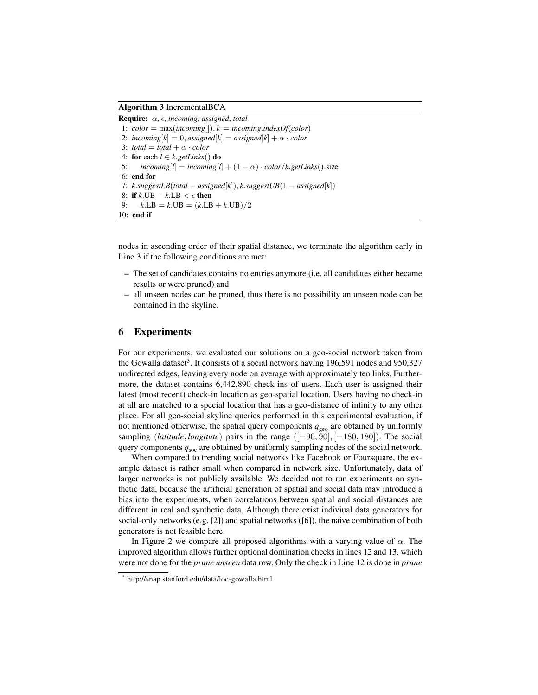Algorithm 3 IncrementalBCA

Require: α, , *incoming*, *assigned*, *total*

1:  $color = max(incoming[], k = incoming.indexOf-color)$ 2:  $\text{incoming}[k] = 0, \text{assigned}[k] = \text{assigned}[k] + \alpha \cdot \text{color}$ 3: *total* = *total* +  $\alpha$  · *color* 4: for each  $l \in k.getLinks()$  do 5:  $\text{i} \text{ncoming}[l] = \text{i} \text{ncoming}[l] + (1 - \alpha) \cdot \text{color}/k.getLinks()$ .size 6: end for 7: *k*.*suggestLB*(*total* − *assigned*[*k*]), *k*.*suggestUB*(1 − *assigned*[*k*]) 8: if *k*.UB − *k*.LB < then 9:  $k.LB = k.UB = (k.LB + k.UB)/2$ 10: end if

nodes in ascending order of their spatial distance, we terminate the algorithm early in Line 3 if the following conditions are met:

- The set of candidates contains no entries anymore (i.e. all candidates either became results or were pruned) and
- all unseen nodes can be pruned, thus there is no possibility an unseen node can be contained in the skyline.

# 6 Experiments

For our experiments, we evaluated our solutions on a geo-social network taken from the Gowalla dataset<sup>3</sup>. It consists of a social network having 196,591 nodes and 950,327 undirected edges, leaving every node on average with approximately ten links. Furthermore, the dataset contains 6,442,890 check-ins of users. Each user is assigned their latest (most recent) check-in location as geo-spatial location. Users having no check-in at all are matched to a special location that has a geo-distance of infinity to any other place. For all geo-social skyline queries performed in this experimental evaluation, if not mentioned otherwise, the spatial query components  $q_{\text{geo}}$  are obtained by uniformly sampling (*latitude*, *longitute*) pairs in the range ([−90, 90], [−180, 180]). The social query components  $q_{\text{soc}}$  are obtained by uniformly sampling nodes of the social network.

When compared to trending social networks like Facebook or Foursquare, the example dataset is rather small when compared in network size. Unfortunately, data of larger networks is not publicly available. We decided not to run experiments on synthetic data, because the artificial generation of spatial and social data may introduce a bias into the experiments, when correlations between spatial and social distances are different in real and synthetic data. Although there exist indiviual data generators for social-only networks  $(e.g. [2])$  and spatial networks  $([6])$ , the naive combination of both generators is not feasible here.

In Figure 2 we compare all proposed algorithms with a varying value of  $\alpha$ . The improved algorithm allows further optional domination checks in lines 12 and 13, which were not done for the *prune unseen* data row. Only the check in Line 12 is done in *prune*

<sup>3</sup> http://snap.stanford.edu/data/loc-gowalla.html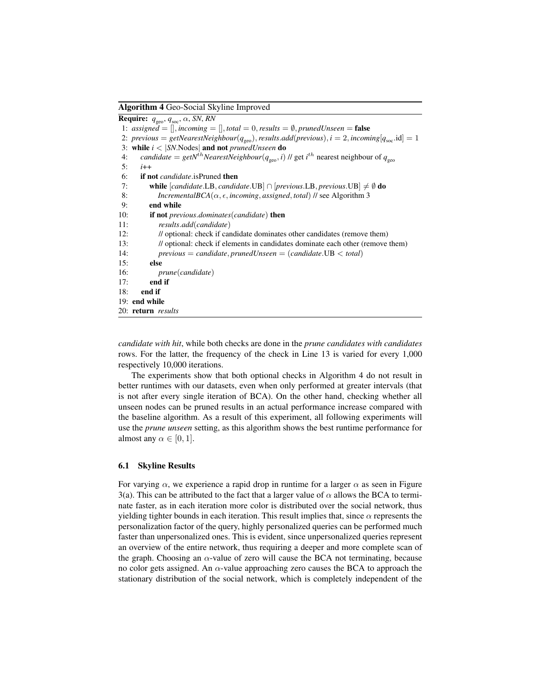#### Algorithm 4 Geo-Social Skyline Improved

**Require:**  $q_{\text{geo}}, q_{\text{soc}}, \alpha, SN, RN$ 1:  $assigned = []$ ,  $incoming = []$ ,  $total = 0$ ,  $results = []$ ,  $prunedUnseen = false$ 2: *previous* = *getNearestNeighbour*( $q_{geo}$ ), *results.add*(*previous*), *i* = 2, *incoming*[ $q_{soc}$ .id] = 1 3: while *i* < |*SN*.Nodes| and not *prunedUnseen* do 4: *candidate* =  $\text{getN}^{th}$ *NearestNeighbour*( $q_{\text{geo}}$ , *i*) // get *i*<sup>th</sup> nearest neighbour of  $q_{\text{geo}}$ 5: *i*++ 6: if not *candidate*.isPruned then 7: while  $[candidate.LB, candidate.UB] \cap [previous.LB, previous.UB] \neq \emptyset$  do 8: *IncrementalBCA*( $\alpha$ ,  $\epsilon$ , *incoming*, *assigned*, *total*) // see Algorithm 3 9: end while 10: if not *previous*.*dominates*(*candidate*) then 11: *results*.*add*(*candidate*) 12: // optional: check if candidate dominates other candidates (remove them) 13: // optional: check if elements in candidates dominate each other (remove them) 14: *previous* = *candidate*, *prunedUnseen* = (*candidate*.UB < *total*) 15: else 16: *prune*(*candidate*) 17: end if 18: end if 19: end while 20: return *results*

*candidate with hit*, while both checks are done in the *prune candidates with candidates* rows. For the latter, the frequency of the check in Line 13 is varied for every 1,000 respectively 10,000 iterations.

The experiments show that both optional checks in Algorithm 4 do not result in better runtimes with our datasets, even when only performed at greater intervals (that is not after every single iteration of BCA). On the other hand, checking whether all unseen nodes can be pruned results in an actual performance increase compared with the baseline algorithm. As a result of this experiment, all following experiments will use the *prune unseen* setting, as this algorithm shows the best runtime performance for almost any  $\alpha \in [0, 1]$ .

#### 6.1 Skyline Results

For varying  $\alpha$ , we experience a rapid drop in runtime for a larger  $\alpha$  as seen in Figure 3(a). This can be attributed to the fact that a larger value of  $\alpha$  allows the BCA to terminate faster, as in each iteration more color is distributed over the social network, thus yielding tighter bounds in each iteration. This result implies that, since  $\alpha$  represents the personalization factor of the query, highly personalized queries can be performed much faster than unpersonalized ones. This is evident, since unpersonalized queries represent an overview of the entire network, thus requiring a deeper and more complete scan of the graph. Choosing an  $\alpha$ -value of zero will cause the BCA not terminating, because no color gets assigned. An  $α$ -value approaching zero causes the BCA to approach the stationary distribution of the social network, which is completely independent of the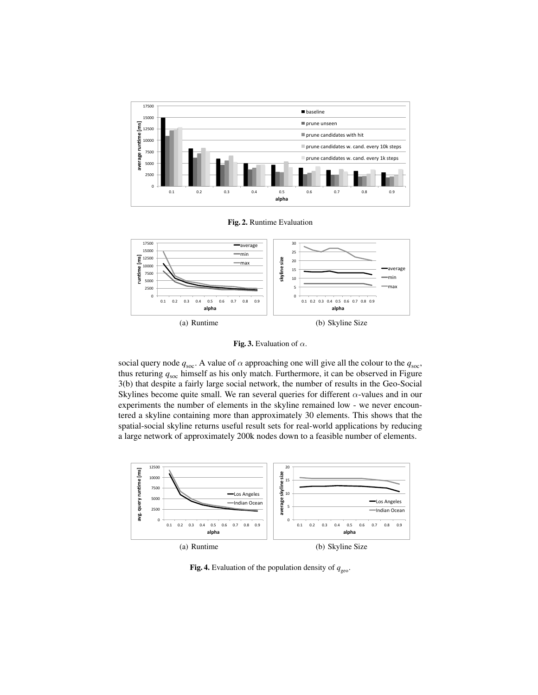

#### Fig. 2. Runtime Evaluation



Fig. 3. Evaluation of  $\alpha$ .

social query node  $q_{\text{soc}}$ . A value of  $\alpha$  approaching one will give all the colour to the  $q_{\text{soc}}$ , thus returing  $q_{\text{soc}}$  himself as his only match. Furthermore, it can be observed in Figure 3(b) that despite a fairly large social network, the number of results in the Geo-Social Skylines become quite small. We ran several queries for different  $\alpha$ -values and in our experiments the number of elements in the skyline remained low - we never encountered a skyline containing more than approximately 30 elements. This shows that the spatial-social skyline returns useful result sets for real-world applications by reducing a large network of approximately 200k nodes down to a feasible number of elements.



Fig. 4. Evaluation of the population density of  $q_{\text{geo}}$ .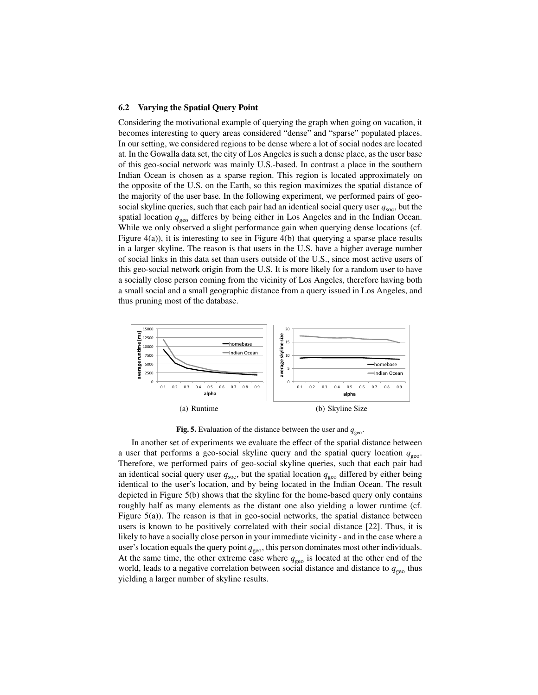#### 6.2 Varying the Spatial Query Point

Considering the motivational example of querying the graph when going on vacation, it becomes interesting to query areas considered "dense" and "sparse" populated places. In our setting, we considered regions to be dense where a lot of social nodes are located at. In the Gowalla data set, the city of Los Angeles is such a dense place, as the user base of this geo-social network was mainly U.S.-based. In contrast a place in the southern Indian Ocean is chosen as a sparse region. This region is located approximately on the opposite of the U.S. on the Earth, so this region maximizes the spatial distance of the majority of the user base. In the following experiment, we performed pairs of geosocial skyline queries, such that each pair had an identical social query user  $q_{\text{soc}}$ , but the spatial location  $q_{\text{geo}}$  differes by being either in Los Angeles and in the Indian Ocean. While we only observed a slight performance gain when querying dense locations (cf. Figure 4(a)), it is interesting to see in Figure 4(b) that querying a sparse place results in a larger skyline. The reason is that users in the U.S. have a higher average number of social links in this data set than users outside of the U.S., since most active users of this geo-social network origin from the U.S. It is more likely for a random user to have a socially close person coming from the vicinity of Los Angeles, therefore having both a small social and a small geographic distance from a query issued in Los Angeles, and thus pruning most of the database.



**Fig. 5.** Evaluation of the distance between the user and  $q_{\text{geo}}$ .

In another set of experiments we evaluate the effect of the spatial distance between a user that performs a geo-social skyline query and the spatial query location  $q_{\text{geo}}$ . Therefore, we performed pairs of geo-social skyline queries, such that each pair had an identical social query user  $q_{\text{soc}}$ , but the spatial location  $q_{\text{geo}}$  differed by either being identical to the user's location, and by being located in the Indian Ocean. The result depicted in Figure 5(b) shows that the skyline for the home-based query only contains roughly half as many elements as the distant one also yielding a lower runtime (cf. Figure 5(a)). The reason is that in geo-social networks, the spatial distance between users is known to be positively correlated with their social distance [22]. Thus, it is likely to have a socially close person in your immediate vicinity - and in the case where a user's location equals the query point  $q_{\text{geo}}$ , this person dominates most other individuals. At the same time, the other extreme case where  $q_{\text{geo}}$  is located at the other end of the world, leads to a negative correlation between social distance and distance to  $q_{\text{geo}}$  thus yielding a larger number of skyline results.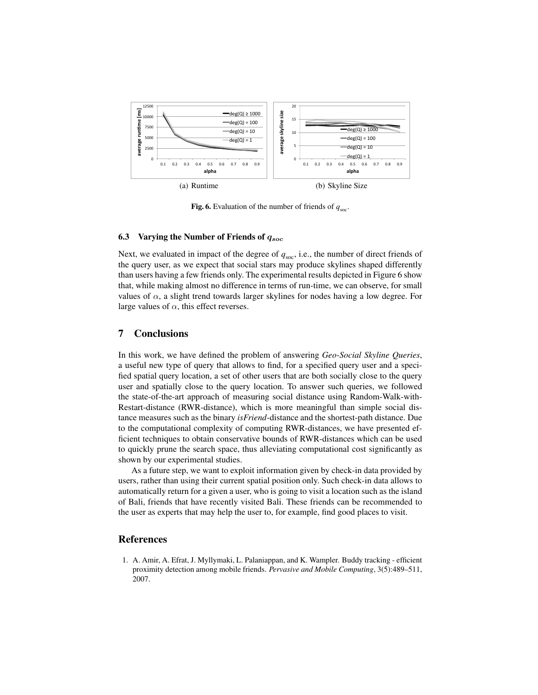

Fig. 6. Evaluation of the number of friends of  $q_{\text{soc}}$ .

### 6.3 Varying the Number of Friends of  $q_{soc}$

Next, we evaluated in impact of the degree of  $q_{\text{soc}}$ , i.e., the number of direct friends of the query user, as we expect that social stars may produce skylines shaped differently than users having a few friends only. The experimental results depicted in Figure 6 show that, while making almost no difference in terms of run-time, we can observe, for small values of  $\alpha$ , a slight trend towards larger skylines for nodes having a low degree. For large values of  $\alpha$ , this effect reverses.

# 7 Conclusions

In this work, we have defined the problem of answering *Geo-Social Skyline Queries*, a useful new type of query that allows to find, for a specified query user and a specified spatial query location, a set of other users that are both socially close to the query user and spatially close to the query location. To answer such queries, we followed the state-of-the-art approach of measuring social distance using Random-Walk-with-Restart-distance (RWR-distance), which is more meaningful than simple social distance measures such as the binary *isFriend*-distance and the shortest-path distance. Due to the computational complexity of computing RWR-distances, we have presented efficient techniques to obtain conservative bounds of RWR-distances which can be used to quickly prune the search space, thus alleviating computational cost significantly as shown by our experimental studies.

As a future step, we want to exploit information given by check-in data provided by users, rather than using their current spatial position only. Such check-in data allows to automatically return for a given a user, who is going to visit a location such as the island of Bali, friends that have recently visited Bali. These friends can be recommended to the user as experts that may help the user to, for example, find good places to visit.

# References

1. A. Amir, A. Efrat, J. Myllymaki, L. Palaniappan, and K. Wampler. Buddy tracking - efficient proximity detection among mobile friends. *Pervasive and Mobile Computing*, 3(5):489–511, 2007.